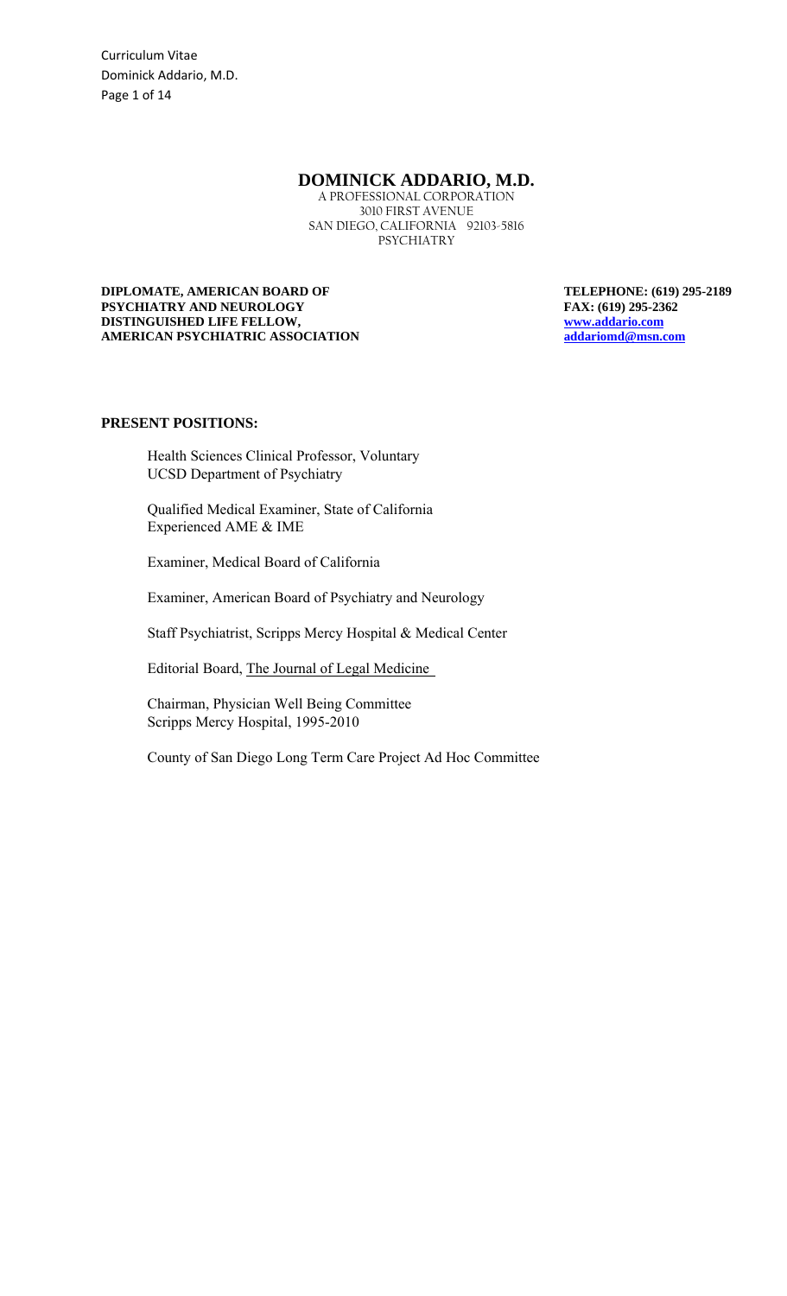Curriculum Vitae Dominick Addario, M.D. Page 1 of 14

# **DOMINICK ADDARIO, M.D.**

A PROFESSIONAL CORPORATION 3010 FIRST AVENUE SAN DIEGO, CALIFORNIA 92103-5816 PSYCHIATRY

**DIPLOMATE, AMERICAN BOARD OF TELEPHONE: (619) 295-2189 PSYCHIATRY AND NEUROLOGY FAX: (619) 295-2362 DISTINGUISHED LIFE FELLOW,** www.addario.com **AMERICAN PSYCHIATRIC ASSOCIATION addariomd@msn.com**

#### **PRESENT POSITIONS:**

Health Sciences Clinical Professor, Voluntary UCSD Department of Psychiatry

Qualified Medical Examiner, State of California Experienced AME & IME

Examiner, Medical Board of California

Examiner, American Board of Psychiatry and Neurology

Staff Psychiatrist, Scripps Mercy Hospital & Medical Center

Editorial Board, The Journal of Legal Medicine

Chairman, Physician Well Being Committee Scripps Mercy Hospital, 1995-2010

County of San Diego Long Term Care Project Ad Hoc Committee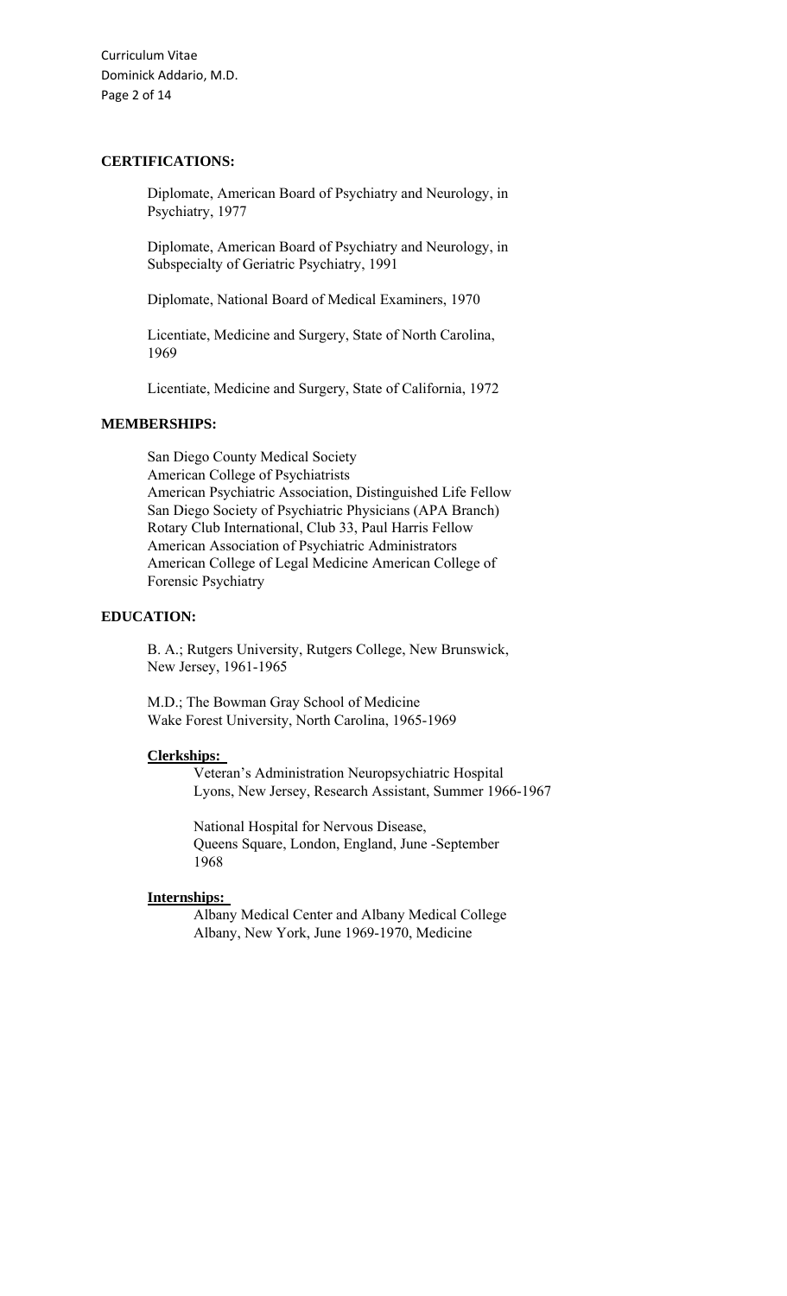Curriculum Vitae Dominick Addario, M.D. Page 2 of 14

# **CERTIFICATIONS:**

Diplomate, American Board of Psychiatry and Neurology, in Psychiatry, 1977

Diplomate, American Board of Psychiatry and Neurology, in Subspecialty of Geriatric Psychiatry, 1991

Diplomate, National Board of Medical Examiners, 1970

Licentiate, Medicine and Surgery, State of North Carolina, 1969

Licentiate, Medicine and Surgery, State of California, 1972

## **MEMBERSHIPS:**

San Diego County Medical Society American College of Psychiatrists American Psychiatric Association, Distinguished Life Fellow San Diego Society of Psychiatric Physicians (APA Branch) Rotary Club International, Club 33, Paul Harris Fellow American Association of Psychiatric Administrators American College of Legal Medicine American College of Forensic Psychiatry

## **EDUCATION:**

B. A.; Rutgers University, Rutgers College, New Brunswick, New Jersey, 1961-1965

M.D.; The Bowman Gray School of Medicine Wake Forest University, North Carolina, 1965-1969

#### **Clerkships:**

Veteran's Administration Neuropsychiatric Hospital Lyons, New Jersey, Research Assistant, Summer 1966-1967

National Hospital for Nervous Disease, Queens Square, London, England, June -September 1968

#### **Internships:**

Albany Medical Center and Albany Medical College Albany, New York, June 1969-1970, Medicine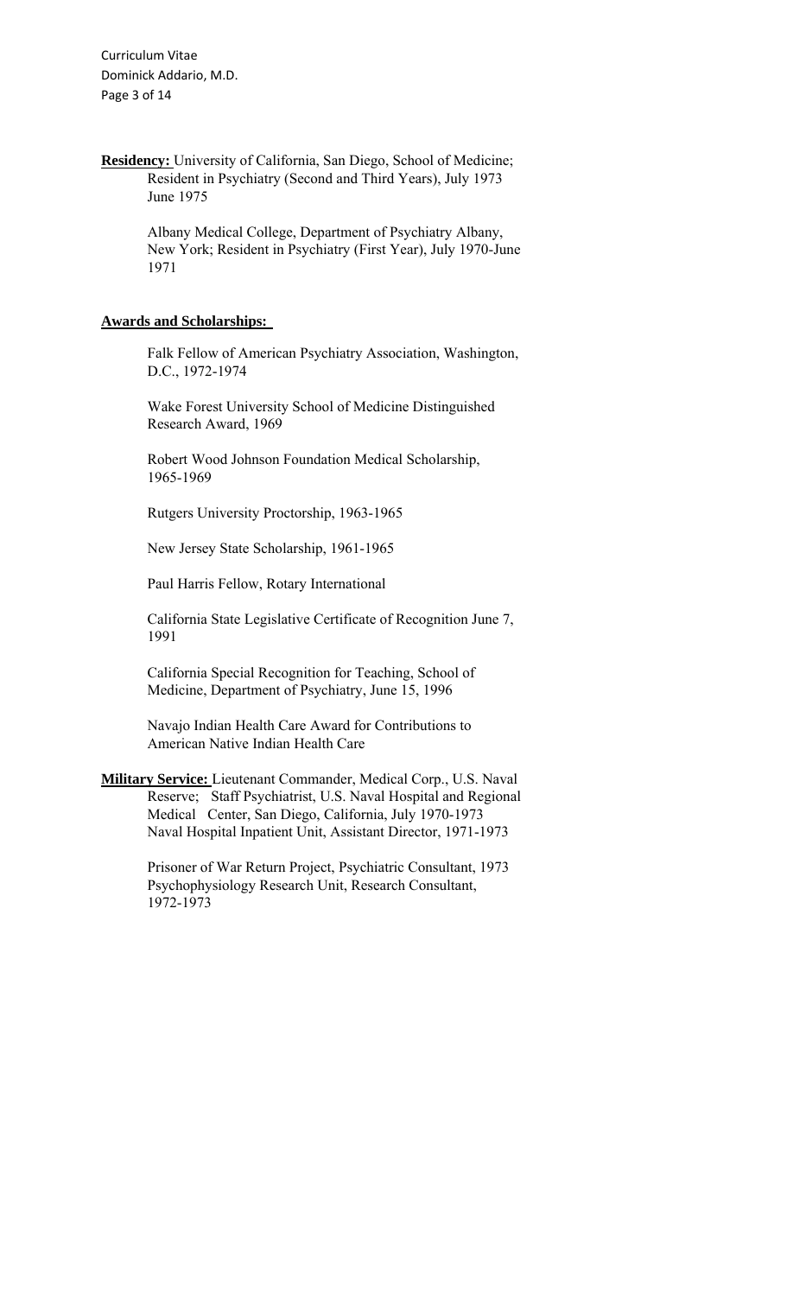Curriculum Vitae Dominick Addario, M.D. Page 3 of 14

**Residency:** University of California, San Diego, School of Medicine; Resident in Psychiatry (Second and Third Years), July 1973 June 1975

> Albany Medical College, Department of Psychiatry Albany, New York; Resident in Psychiatry (First Year), July 1970-June 1971

## **Awards and Scholarships:**

Falk Fellow of American Psychiatry Association, Washington, D.C., 1972-1974

Wake Forest University School of Medicine Distinguished Research Award, 1969

Robert Wood Johnson Foundation Medical Scholarship, 1965-1969

Rutgers University Proctorship, 1963-1965

New Jersey State Scholarship, 1961-1965

Paul Harris Fellow, Rotary International

California State Legislative Certificate of Recognition June 7, 1991

California Special Recognition for Teaching, School of Medicine, Department of Psychiatry, June 15, 1996

Navajo Indian Health Care Award for Contributions to American Native Indian Health Care

**Military Service:** Lieutenant Commander, Medical Corp., U.S. Naval Reserve; Staff Psychiatrist, U.S. Naval Hospital and Regional Medical Center, San Diego, California, July 1970-1973 Naval Hospital Inpatient Unit, Assistant Director, 1971-1973

> Prisoner of War Return Project, Psychiatric Consultant, 1973 Psychophysiology Research Unit, Research Consultant, 1972-1973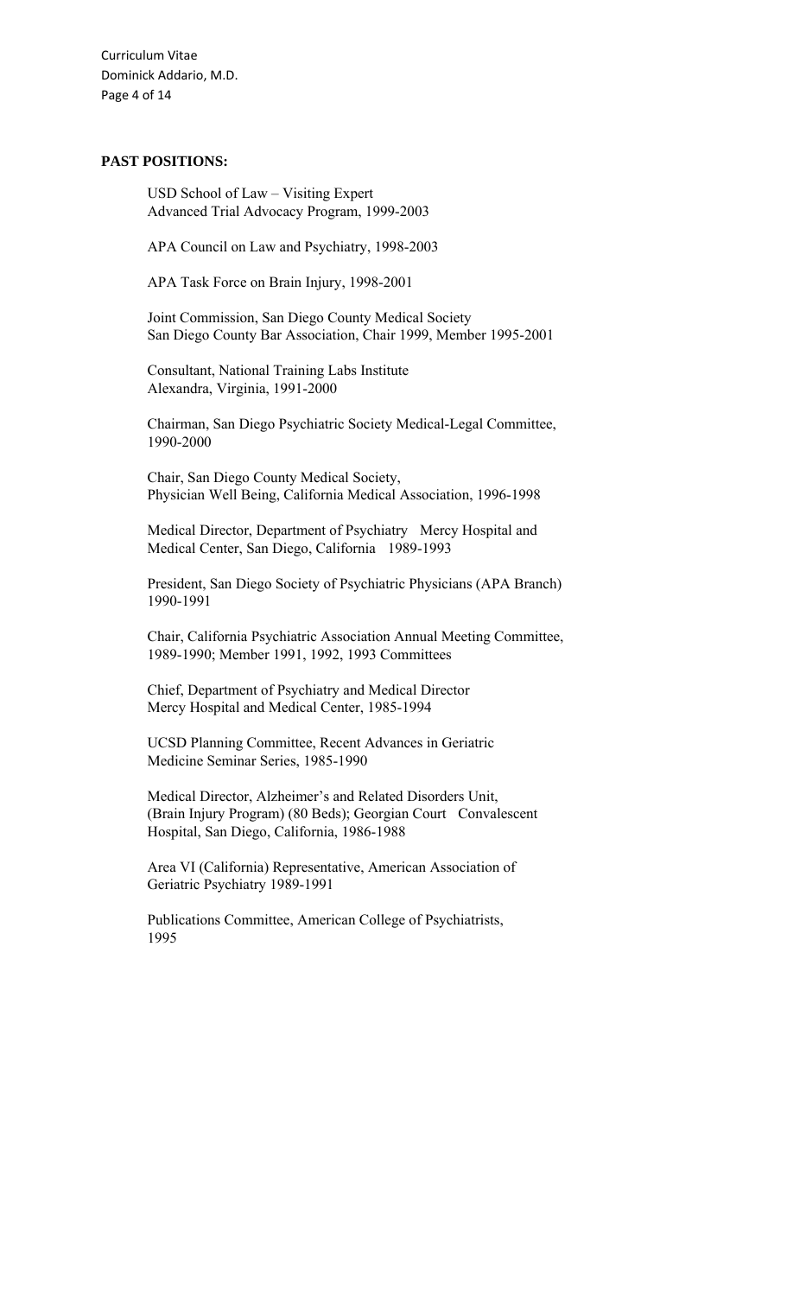Curriculum Vitae Dominick Addario, M.D. Page 4 of 14

## **PAST POSITIONS:**

USD School of Law – Visiting Expert Advanced Trial Advocacy Program, 1999-2003

APA Council on Law and Psychiatry, 1998-2003

APA Task Force on Brain Injury, 1998-2001

Joint Commission, San Diego County Medical Society San Diego County Bar Association, Chair 1999, Member 1995-2001

Consultant, National Training Labs Institute Alexandra, Virginia, 1991-2000

Chairman, San Diego Psychiatric Society Medical-Legal Committee, 1990-2000

Chair, San Diego County Medical Society, Physician Well Being, California Medical Association, 1996-1998

Medical Director, Department of Psychiatry Mercy Hospital and Medical Center, San Diego, California 1989-1993

President, San Diego Society of Psychiatric Physicians (APA Branch) 1990-1991

Chair, California Psychiatric Association Annual Meeting Committee, 1989-1990; Member 1991, 1992, 1993 Committees

Chief, Department of Psychiatry and Medical Director Mercy Hospital and Medical Center, 1985-1994

UCSD Planning Committee, Recent Advances in Geriatric Medicine Seminar Series, 1985-1990

Medical Director, Alzheimer's and Related Disorders Unit, (Brain Injury Program) (80 Beds); Georgian Court Convalescent Hospital, San Diego, California, 1986-1988

Area VI (California) Representative, American Association of Geriatric Psychiatry 1989-1991

Publications Committee, American College of Psychiatrists, 1995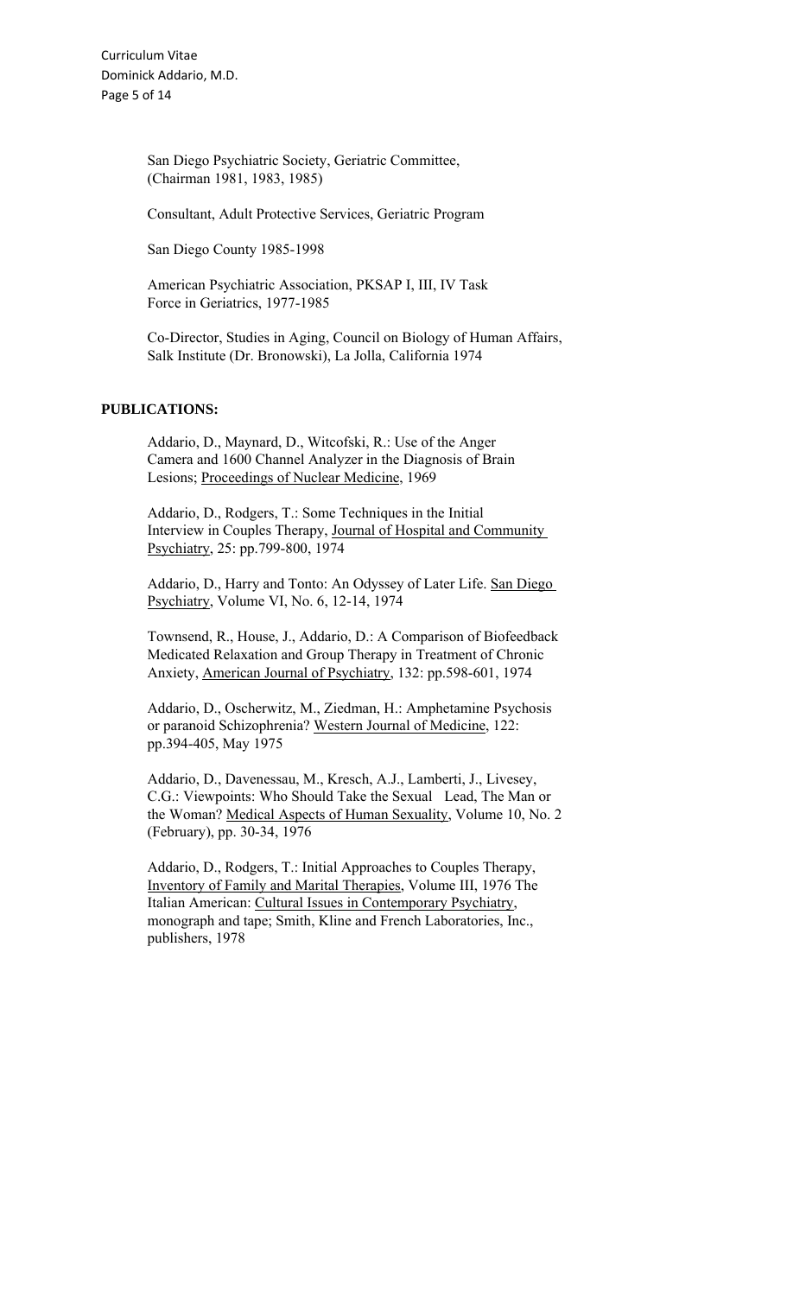San Diego Psychiatric Society, Geriatric Committee, (Chairman 1981, 1983, 1985)

Consultant, Adult Protective Services, Geriatric Program

San Diego County 1985-1998

American Psychiatric Association, PKSAP I, III, IV Task Force in Geriatrics, 1977-1985

Co-Director, Studies in Aging, Council on Biology of Human Affairs, Salk Institute (Dr. Bronowski), La Jolla, California 1974

## **PUBLICATIONS:**

Addario, D., Maynard, D., Witcofski, R.: Use of the Anger Camera and 1600 Channel Analyzer in the Diagnosis of Brain Lesions; Proceedings of Nuclear Medicine, 1969

Addario, D., Rodgers, T.: Some Techniques in the Initial Interview in Couples Therapy, Journal of Hospital and Community Psychiatry, 25: pp.799-800, 1974

Addario, D., Harry and Tonto: An Odyssey of Later Life. San Diego Psychiatry, Volume VI, No. 6, 12-14, 1974

Townsend, R., House, J., Addario, D.: A Comparison of Biofeedback Medicated Relaxation and Group Therapy in Treatment of Chronic Anxiety, American Journal of Psychiatry, 132: pp.598-601, 1974

Addario, D., Oscherwitz, M., Ziedman, H.: Amphetamine Psychosis or paranoid Schizophrenia? Western Journal of Medicine, 122: pp.394-405, May 1975

Addario, D., Davenessau, M., Kresch, A.J., Lamberti, J., Livesey, C.G.: Viewpoints: Who Should Take the Sexual Lead, The Man or the Woman? Medical Aspects of Human Sexuality, Volume 10, No. 2 (February), pp. 30-34, 1976

Addario, D., Rodgers, T.: Initial Approaches to Couples Therapy, Inventory of Family and Marital Therapies, Volume III, 1976 The Italian American: Cultural Issues in Contemporary Psychiatry, monograph and tape; Smith, Kline and French Laboratories, Inc., publishers, 1978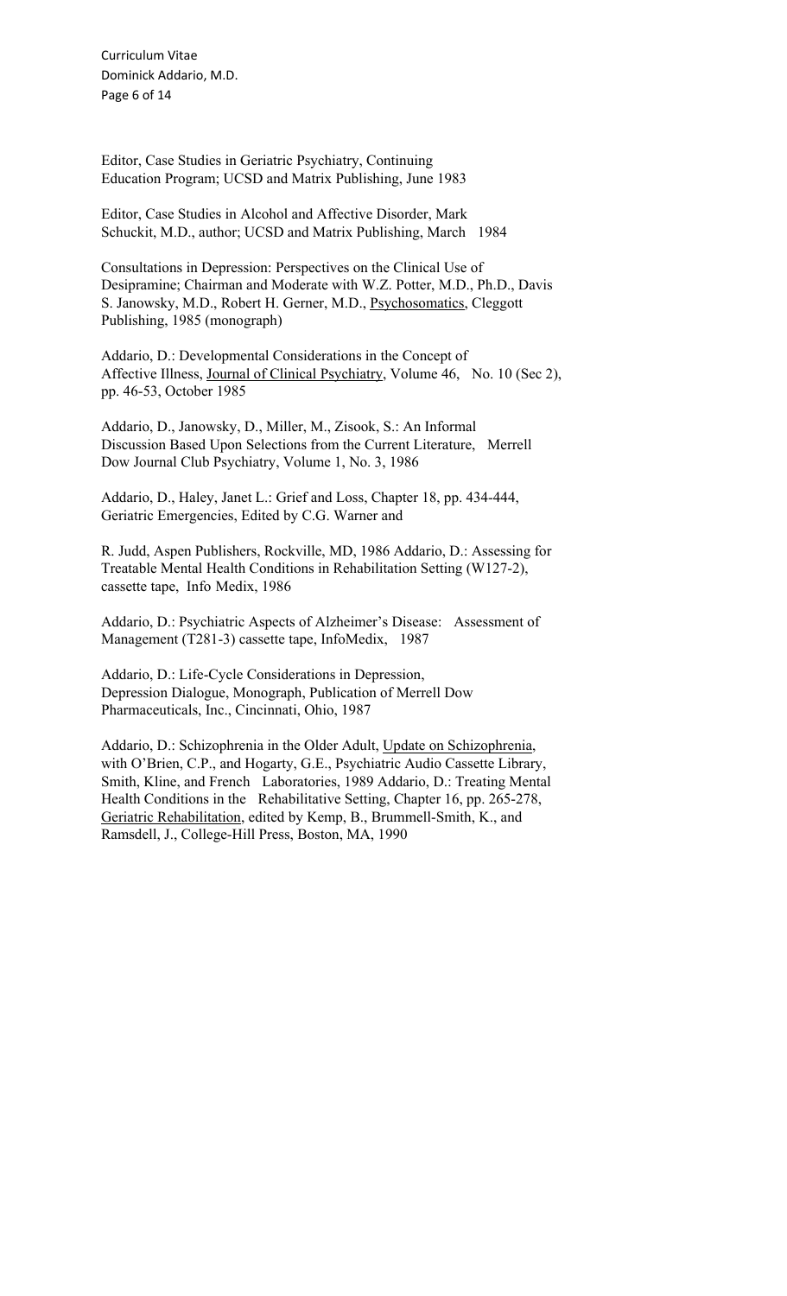Curriculum Vitae Dominick Addario, M.D. Page 6 of 14

Editor, Case Studies in Geriatric Psychiatry, Continuing Education Program; UCSD and Matrix Publishing, June 1983

Editor, Case Studies in Alcohol and Affective Disorder, Mark Schuckit, M.D., author; UCSD and Matrix Publishing, March 1984

Consultations in Depression: Perspectives on the Clinical Use of Desipramine; Chairman and Moderate with W.Z. Potter, M.D., Ph.D., Davis S. Janowsky, M.D., Robert H. Gerner, M.D., Psychosomatics, Cleggott Publishing, 1985 (monograph)

Addario, D.: Developmental Considerations in the Concept of Affective Illness, Journal of Clinical Psychiatry, Volume 46, No. 10 (Sec 2), pp. 46-53, October 1985

Addario, D., Janowsky, D., Miller, M., Zisook, S.: An Informal Discussion Based Upon Selections from the Current Literature, Merrell Dow Journal Club Psychiatry, Volume 1, No. 3, 1986

Addario, D., Haley, Janet L.: Grief and Loss, Chapter 18, pp. 434-444, Geriatric Emergencies, Edited by C.G. Warner and

R. Judd, Aspen Publishers, Rockville, MD, 1986 Addario, D.: Assessing for Treatable Mental Health Conditions in Rehabilitation Setting (W127-2), cassette tape, Info Medix, 1986

Addario, D.: Psychiatric Aspects of Alzheimer's Disease: Assessment of Management (T281-3) cassette tape, InfoMedix, 1987

Addario, D.: Life-Cycle Considerations in Depression, Depression Dialogue, Monograph, Publication of Merrell Dow Pharmaceuticals, Inc., Cincinnati, Ohio, 1987

Addario, D.: Schizophrenia in the Older Adult, Update on Schizophrenia, with O'Brien, C.P., and Hogarty, G.E., Psychiatric Audio Cassette Library, Smith, Kline, and French Laboratories, 1989 Addario, D.: Treating Mental Health Conditions in the Rehabilitative Setting, Chapter 16, pp. 265-278, Geriatric Rehabilitation, edited by Kemp, B., Brummell-Smith, K., and Ramsdell, J., College-Hill Press, Boston, MA, 1990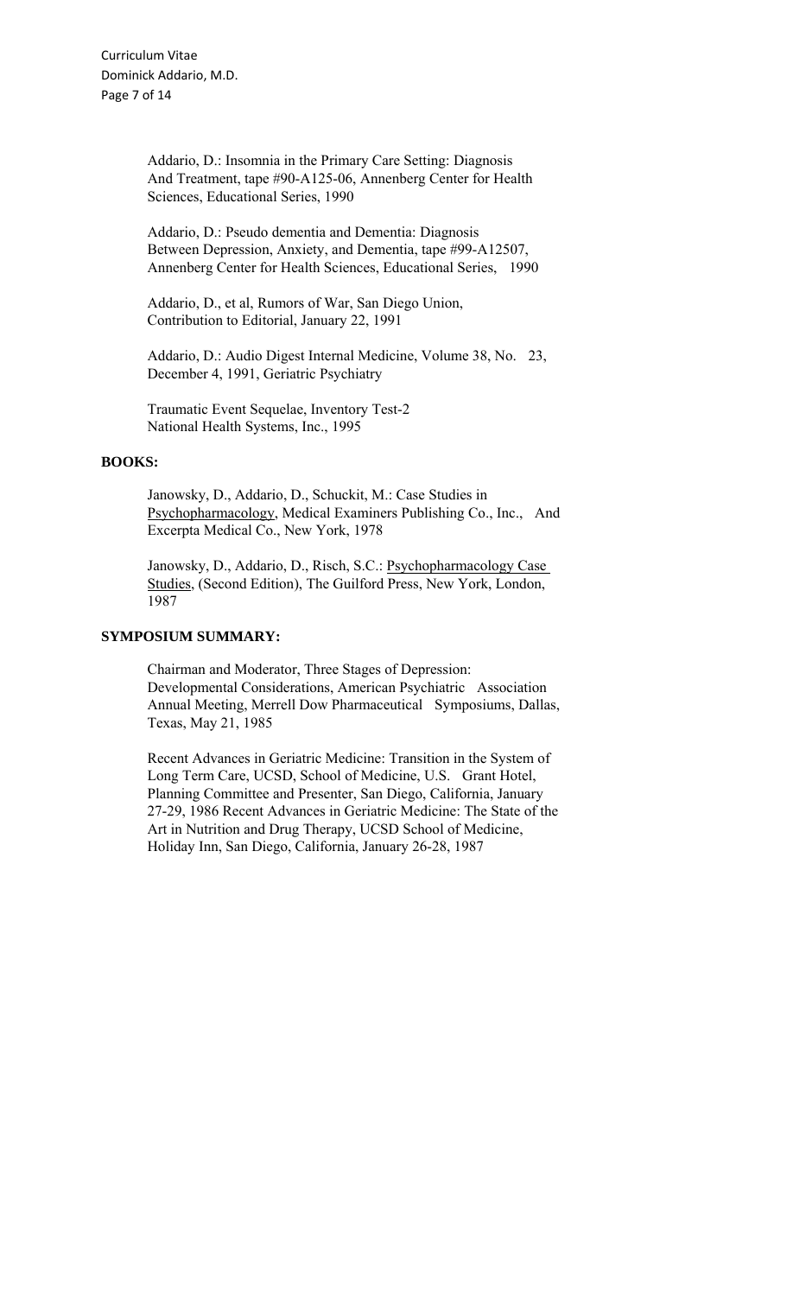Addario, D.: Insomnia in the Primary Care Setting: Diagnosis And Treatment, tape #90-A125-06, Annenberg Center for Health Sciences, Educational Series, 1990

Addario, D.: Pseudo dementia and Dementia: Diagnosis Between Depression, Anxiety, and Dementia, tape #99-A12507, Annenberg Center for Health Sciences, Educational Series, 1990

Addario, D., et al, Rumors of War, San Diego Union, Contribution to Editorial, January 22, 1991

Addario, D.: Audio Digest Internal Medicine, Volume 38, No. 23, December 4, 1991, Geriatric Psychiatry

Traumatic Event Sequelae, Inventory Test-2 National Health Systems, Inc., 1995

#### **BOOKS:**

Janowsky, D., Addario, D., Schuckit, M.: Case Studies in Psychopharmacology, Medical Examiners Publishing Co., Inc., And Excerpta Medical Co., New York, 1978

Janowsky, D., Addario, D., Risch, S.C.: Psychopharmacology Case Studies, (Second Edition), The Guilford Press, New York, London, 1987

# **SYMPOSIUM SUMMARY:**

Chairman and Moderator, Three Stages of Depression: Developmental Considerations, American Psychiatric Association Annual Meeting, Merrell Dow Pharmaceutical Symposiums, Dallas, Texas, May 21, 1985

Recent Advances in Geriatric Medicine: Transition in the System of Long Term Care, UCSD, School of Medicine, U.S. Grant Hotel, Planning Committee and Presenter, San Diego, California, January 27-29, 1986 Recent Advances in Geriatric Medicine: The State of the Art in Nutrition and Drug Therapy, UCSD School of Medicine, Holiday Inn, San Diego, California, January 26-28, 1987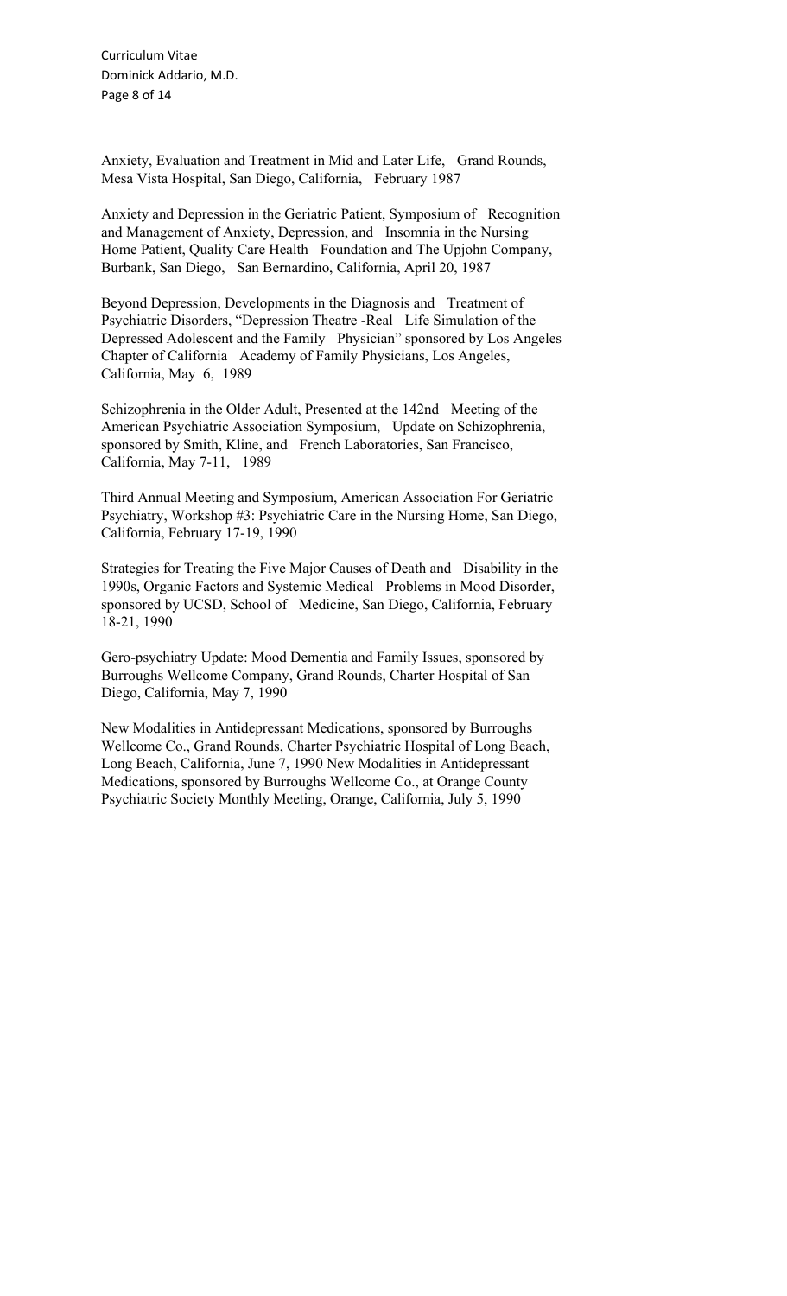Curriculum Vitae Dominick Addario, M.D. Page 8 of 14

Anxiety, Evaluation and Treatment in Mid and Later Life, Grand Rounds, Mesa Vista Hospital, San Diego, California, February 1987

Anxiety and Depression in the Geriatric Patient, Symposium of Recognition and Management of Anxiety, Depression, and Insomnia in the Nursing Home Patient, Quality Care Health Foundation and The Upjohn Company, Burbank, San Diego, San Bernardino, California, April 20, 1987

Beyond Depression, Developments in the Diagnosis and Treatment of Psychiatric Disorders, "Depression Theatre -Real Life Simulation of the Depressed Adolescent and the Family Physician" sponsored by Los Angeles Chapter of California Academy of Family Physicians, Los Angeles, California, May 6, 1989

Schizophrenia in the Older Adult, Presented at the 142nd Meeting of the American Psychiatric Association Symposium, Update on Schizophrenia, sponsored by Smith, Kline, and French Laboratories, San Francisco, California, May 7-11, 1989

Third Annual Meeting and Symposium, American Association For Geriatric Psychiatry, Workshop #3: Psychiatric Care in the Nursing Home, San Diego, California, February 17-19, 1990

Strategies for Treating the Five Major Causes of Death and Disability in the 1990s, Organic Factors and Systemic Medical Problems in Mood Disorder, sponsored by UCSD, School of Medicine, San Diego, California, February 18-21, 1990

Gero-psychiatry Update: Mood Dementia and Family Issues, sponsored by Burroughs Wellcome Company, Grand Rounds, Charter Hospital of San Diego, California, May 7, 1990

New Modalities in Antidepressant Medications, sponsored by Burroughs Wellcome Co., Grand Rounds, Charter Psychiatric Hospital of Long Beach, Long Beach, California, June 7, 1990 New Modalities in Antidepressant Medications, sponsored by Burroughs Wellcome Co., at Orange County Psychiatric Society Monthly Meeting, Orange, California, July 5, 1990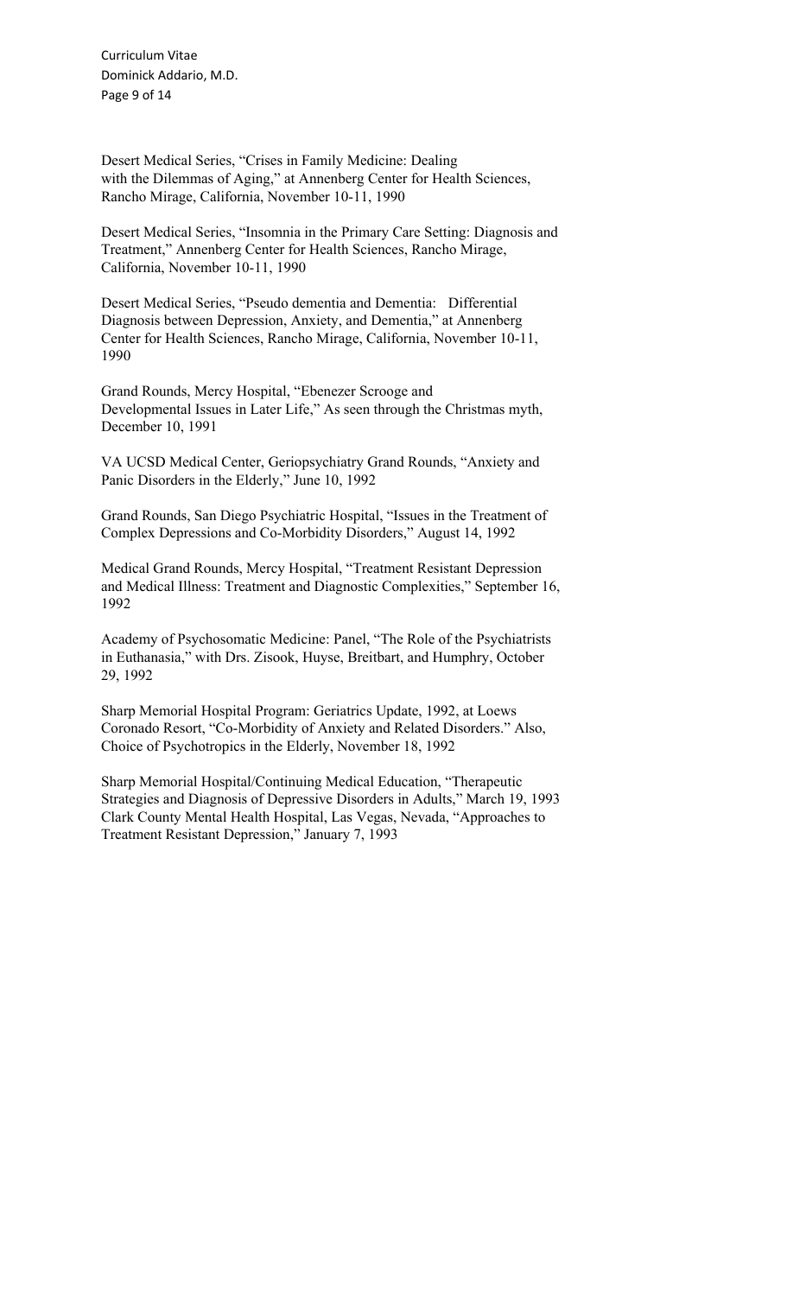Curriculum Vitae Dominick Addario, M.D. Page 9 of 14

Desert Medical Series, "Crises in Family Medicine: Dealing with the Dilemmas of Aging," at Annenberg Center for Health Sciences, Rancho Mirage, California, November 10-11, 1990

Desert Medical Series, "Insomnia in the Primary Care Setting: Diagnosis and Treatment," Annenberg Center for Health Sciences, Rancho Mirage, California, November 10-11, 1990

Desert Medical Series, "Pseudo dementia and Dementia: Differential Diagnosis between Depression, Anxiety, and Dementia," at Annenberg Center for Health Sciences, Rancho Mirage, California, November 10-11, 1990

Grand Rounds, Mercy Hospital, "Ebenezer Scrooge and Developmental Issues in Later Life," As seen through the Christmas myth, December 10, 1991

VA UCSD Medical Center, Geriopsychiatry Grand Rounds, "Anxiety and Panic Disorders in the Elderly," June 10, 1992

Grand Rounds, San Diego Psychiatric Hospital, "Issues in the Treatment of Complex Depressions and Co-Morbidity Disorders," August 14, 1992

Medical Grand Rounds, Mercy Hospital, "Treatment Resistant Depression and Medical Illness: Treatment and Diagnostic Complexities," September 16, 1992

Academy of Psychosomatic Medicine: Panel, "The Role of the Psychiatrists in Euthanasia," with Drs. Zisook, Huyse, Breitbart, and Humphry, October 29, 1992

Sharp Memorial Hospital Program: Geriatrics Update, 1992, at Loews Coronado Resort, "Co-Morbidity of Anxiety and Related Disorders." Also, Choice of Psychotropics in the Elderly, November 18, 1992

Sharp Memorial Hospital/Continuing Medical Education, "Therapeutic Strategies and Diagnosis of Depressive Disorders in Adults," March 19, 1993 Clark County Mental Health Hospital, Las Vegas, Nevada, "Approaches to Treatment Resistant Depression," January 7, 1993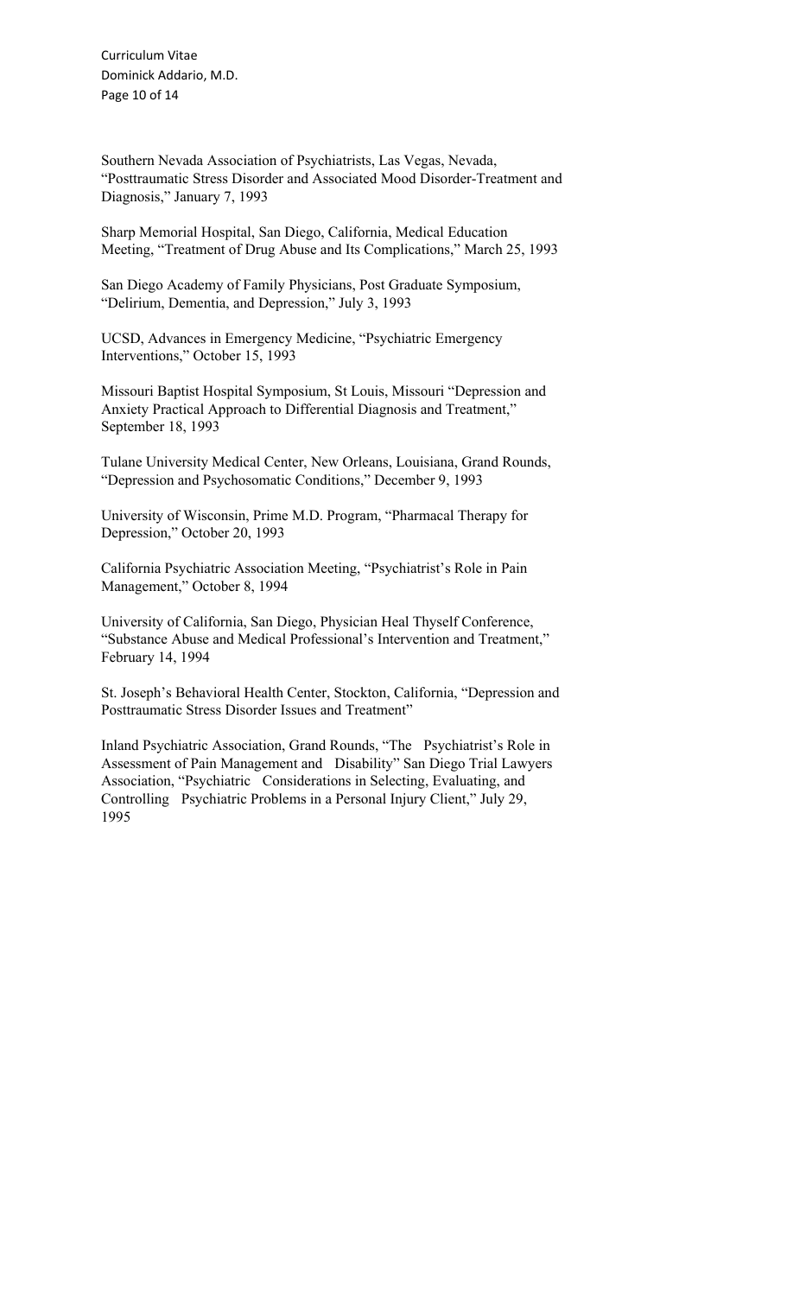Curriculum Vitae Dominick Addario, M.D. Page 10 of 14

Southern Nevada Association of Psychiatrists, Las Vegas, Nevada, "Posttraumatic Stress Disorder and Associated Mood Disorder-Treatment and Diagnosis," January 7, 1993

Sharp Memorial Hospital, San Diego, California, Medical Education Meeting, "Treatment of Drug Abuse and Its Complications," March 25, 1993

San Diego Academy of Family Physicians, Post Graduate Symposium, "Delirium, Dementia, and Depression," July 3, 1993

UCSD, Advances in Emergency Medicine, "Psychiatric Emergency Interventions," October 15, 1993

Missouri Baptist Hospital Symposium, St Louis, Missouri "Depression and Anxiety Practical Approach to Differential Diagnosis and Treatment," September 18, 1993

Tulane University Medical Center, New Orleans, Louisiana, Grand Rounds, "Depression and Psychosomatic Conditions," December 9, 1993

University of Wisconsin, Prime M.D. Program, "Pharmacal Therapy for Depression," October 20, 1993

California Psychiatric Association Meeting, "Psychiatrist's Role in Pain Management," October 8, 1994

University of California, San Diego, Physician Heal Thyself Conference, "Substance Abuse and Medical Professional's Intervention and Treatment," February 14, 1994

St. Joseph's Behavioral Health Center, Stockton, California, "Depression and Posttraumatic Stress Disorder Issues and Treatment"

Inland Psychiatric Association, Grand Rounds, "The Psychiatrist's Role in Assessment of Pain Management and Disability" San Diego Trial Lawyers Association, "Psychiatric Considerations in Selecting, Evaluating, and Controlling Psychiatric Problems in a Personal Injury Client," July 29, 1995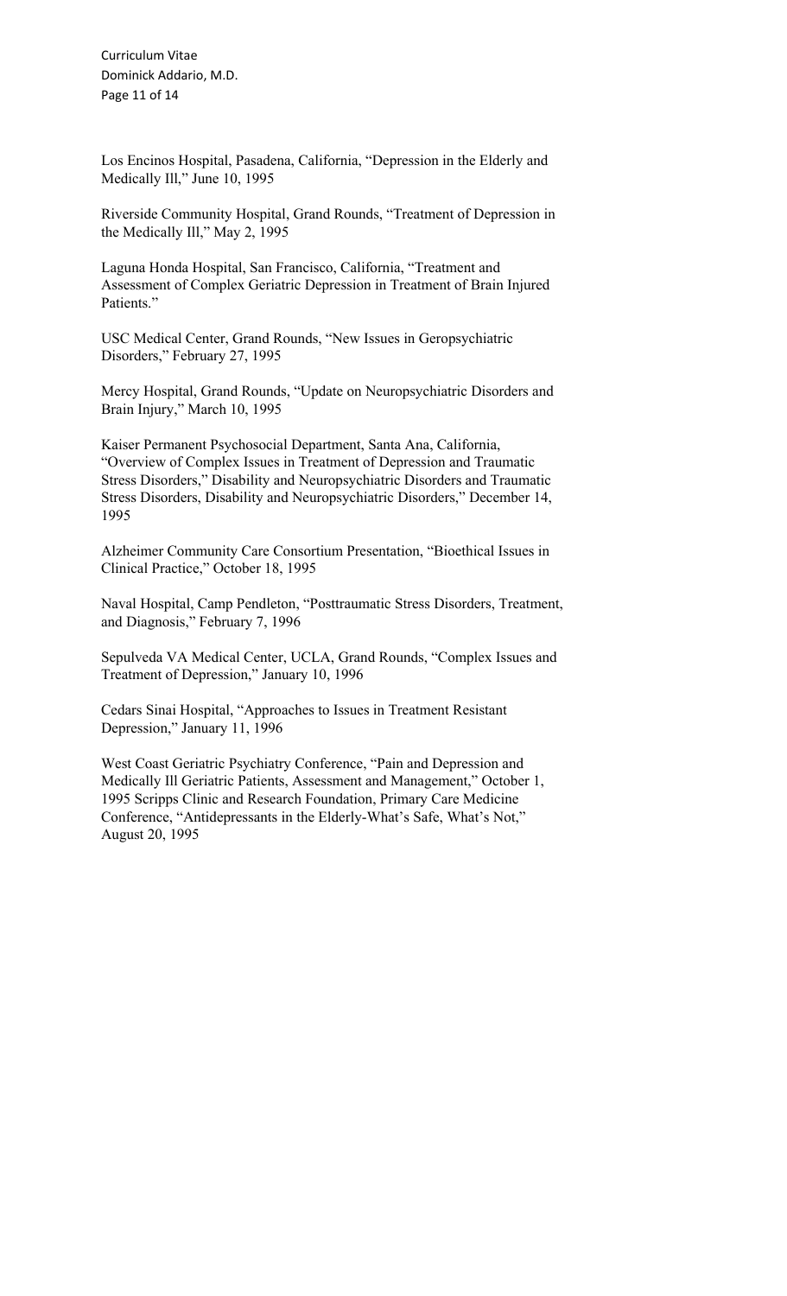Curriculum Vitae Dominick Addario, M.D. Page 11 of 14

Los Encinos Hospital, Pasadena, California, "Depression in the Elderly and Medically Ill," June 10, 1995

Riverside Community Hospital, Grand Rounds, "Treatment of Depression in the Medically Ill," May 2, 1995

Laguna Honda Hospital, San Francisco, California, "Treatment and Assessment of Complex Geriatric Depression in Treatment of Brain Injured Patients."

USC Medical Center, Grand Rounds, "New Issues in Geropsychiatric Disorders," February 27, 1995

Mercy Hospital, Grand Rounds, "Update on Neuropsychiatric Disorders and Brain Injury," March 10, 1995

Kaiser Permanent Psychosocial Department, Santa Ana, California, "Overview of Complex Issues in Treatment of Depression and Traumatic Stress Disorders," Disability and Neuropsychiatric Disorders and Traumatic Stress Disorders, Disability and Neuropsychiatric Disorders," December 14, 1995

Alzheimer Community Care Consortium Presentation, "Bioethical Issues in Clinical Practice," October 18, 1995

Naval Hospital, Camp Pendleton, "Posttraumatic Stress Disorders, Treatment, and Diagnosis," February 7, 1996

Sepulveda VA Medical Center, UCLA, Grand Rounds, "Complex Issues and Treatment of Depression," January 10, 1996

Cedars Sinai Hospital, "Approaches to Issues in Treatment Resistant Depression," January 11, 1996

West Coast Geriatric Psychiatry Conference, "Pain and Depression and Medically Ill Geriatric Patients, Assessment and Management," October 1, 1995 Scripps Clinic and Research Foundation, Primary Care Medicine Conference, "Antidepressants in the Elderly-What's Safe, What's Not," August 20, 1995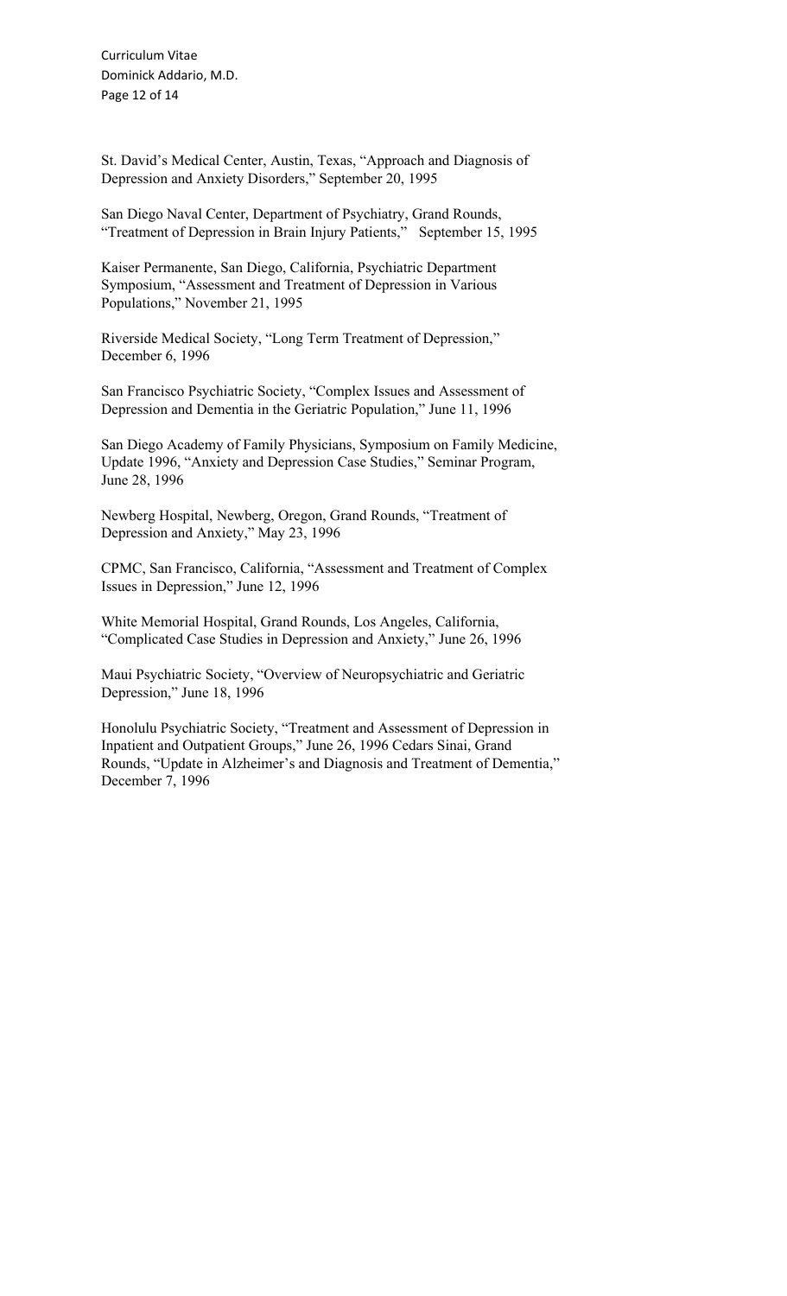Curriculum Vitae Dominick Addario, M.D. Page 12 of 14

St. David's Medical Center, Austin, Texas, "Approach and Diagnosis of Depression and Anxiety Disorders," September 20, 1995

San Diego Naval Center, Department of Psychiatry, Grand Rounds, "Treatment of Depression in Brain Injury Patients," September 15, 1995

Kaiser Permanente, San Diego, California, Psychiatric Department Symposium, "Assessment and Treatment of Depression in Various Populations," November 21, 1995

Riverside Medical Society, "Long Term Treatment of Depression," December 6, 1996

San Francisco Psychiatric Society, "Complex Issues and Assessment of Depression and Dementia in the Geriatric Population," June 11, 1996

San Diego Academy of Family Physicians, Symposium on Family Medicine, Update 1996, "Anxiety and Depression Case Studies," Seminar Program, June 28, 1996

Newberg Hospital, Newberg, Oregon, Grand Rounds, "Treatment of Depression and Anxiety," May 23, 1996

CPMC, San Francisco, California, "Assessment and Treatment of Complex Issues in Depression," June 12, 1996

White Memorial Hospital, Grand Rounds, Los Angeles, California, "Complicated Case Studies in Depression and Anxiety," June 26, 1996

Maui Psychiatric Society, "Overview of Neuropsychiatric and Geriatric Depression," June 18, 1996

Honolulu Psychiatric Society, "Treatment and Assessment of Depression in Inpatient and Outpatient Groups," June 26, 1996 Cedars Sinai, Grand Rounds, "Update in Alzheimer's and Diagnosis and Treatment of Dementia," December 7, 1996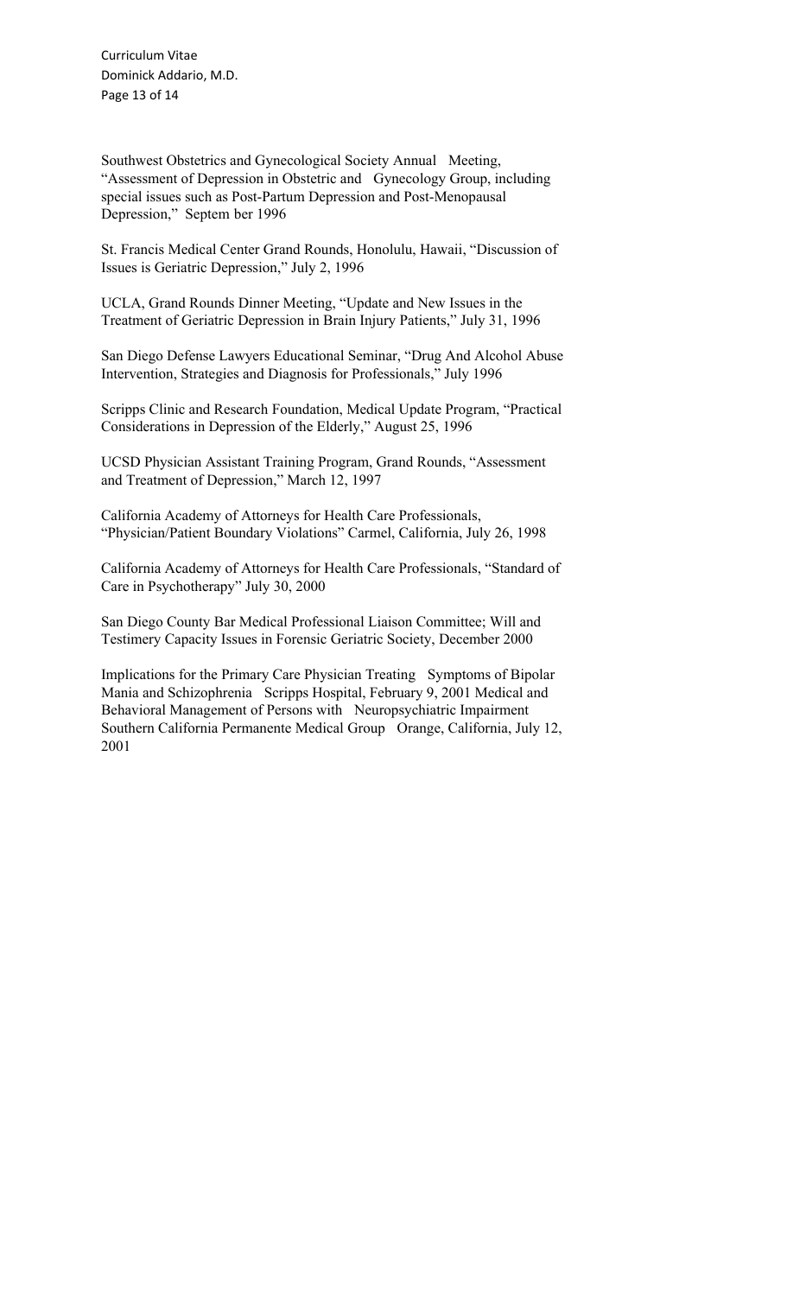Curriculum Vitae Dominick Addario, M.D. Page 13 of 14

Southwest Obstetrics and Gynecological Society Annual Meeting, "Assessment of Depression in Obstetric and Gynecology Group, including special issues such as Post-Partum Depression and Post-Menopausal Depression," Septem ber 1996

St. Francis Medical Center Grand Rounds, Honolulu, Hawaii, "Discussion of Issues is Geriatric Depression," July 2, 1996

UCLA, Grand Rounds Dinner Meeting, "Update and New Issues in the Treatment of Geriatric Depression in Brain Injury Patients," July 31, 1996

San Diego Defense Lawyers Educational Seminar, "Drug And Alcohol Abuse Intervention, Strategies and Diagnosis for Professionals," July 1996

Scripps Clinic and Research Foundation, Medical Update Program, "Practical Considerations in Depression of the Elderly," August 25, 1996

UCSD Physician Assistant Training Program, Grand Rounds, "Assessment and Treatment of Depression," March 12, 1997

California Academy of Attorneys for Health Care Professionals, "Physician/Patient Boundary Violations" Carmel, California, July 26, 1998

California Academy of Attorneys for Health Care Professionals, "Standard of Care in Psychotherapy" July 30, 2000

San Diego County Bar Medical Professional Liaison Committee; Will and Testimery Capacity Issues in Forensic Geriatric Society, December 2000

Implications for the Primary Care Physician Treating Symptoms of Bipolar Mania and Schizophrenia Scripps Hospital, February 9, 2001 Medical and Behavioral Management of Persons with Neuropsychiatric Impairment Southern California Permanente Medical Group Orange, California, July 12, 2001